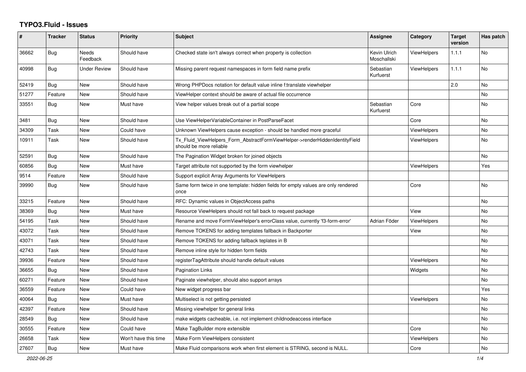## **TYPO3.Fluid - Issues**

| #     | <b>Tracker</b> | <b>Status</b>            | <b>Priority</b>      | <b>Subject</b>                                                                                         | Assignee                           | Category           | <b>Target</b><br>version | Has patch |
|-------|----------------|--------------------------|----------------------|--------------------------------------------------------------------------------------------------------|------------------------------------|--------------------|--------------------------|-----------|
| 36662 | <b>Bug</b>     | <b>Needs</b><br>Feedback | Should have          | Checked state isn't always correct when property is collection                                         | <b>Kevin Ulrich</b><br>Moschallski | <b>ViewHelpers</b> | 1.1.1                    | No        |
| 40998 | Bug            | <b>Under Review</b>      | Should have          | Missing parent request namespaces in form field name prefix                                            | Sebastian<br>Kurfuerst             | <b>ViewHelpers</b> | 1.1.1                    | No        |
| 52419 | Bug            | <b>New</b>               | Should have          | Wrong PHPDocs notation for default value inline f:translate viewhelper                                 |                                    |                    | 2.0                      | No.       |
| 51277 | Feature        | New                      | Should have          | ViewHelper context should be aware of actual file occurrence                                           |                                    |                    |                          | No        |
| 33551 | Bug            | New                      | Must have            | View helper values break out of a partial scope                                                        | Sebastian<br>Kurfuerst             | Core               |                          | No        |
| 3481  | <b>Bug</b>     | New                      | Should have          | Use ViewHelperVariableContainer in PostParseFacet                                                      |                                    | Core               |                          | No        |
| 34309 | Task           | New                      | Could have           | Unknown ViewHelpers cause exception - should be handled more graceful                                  |                                    | <b>ViewHelpers</b> |                          | No        |
| 10911 | Task           | New                      | Should have          | Tx Fluid ViewHelpers Form AbstractFormViewHelper->renderHiddenIdentityField<br>should be more reliable |                                    | <b>ViewHelpers</b> |                          | No.       |
| 52591 | <b>Bug</b>     | <b>New</b>               | Should have          | The Pagination Widget broken for joined objects                                                        |                                    |                    |                          | No        |
| 60856 | Bug            | New                      | Must have            | Target attribute not supported by the form viewhelper                                                  |                                    | <b>ViewHelpers</b> |                          | Yes       |
| 9514  | Feature        | New                      | Should have          | Support explicit Array Arguments for ViewHelpers                                                       |                                    |                    |                          |           |
| 39990 | Bug            | New                      | Should have          | Same form twice in one template: hidden fields for empty values are only rendered<br>once              |                                    | Core               |                          | No        |
| 33215 | Feature        | New                      | Should have          | RFC: Dynamic values in ObjectAccess paths                                                              |                                    |                    |                          | No        |
| 38369 | <b>Bug</b>     | New                      | Must have            | Resource ViewHelpers should not fall back to request package                                           |                                    | View               |                          | No        |
| 54195 | Task           | New                      | Should have          | Rename and move FormViewHelper's errorClass value, currently 'f3-form-error'                           | Adrian Föder                       | ViewHelpers        |                          | No        |
| 43072 | Task           | New                      | Should have          | Remove TOKENS for adding templates fallback in Backporter                                              |                                    | View               |                          | No        |
| 43071 | Task           | New                      | Should have          | Remove TOKENS for adding fallback teplates in B                                                        |                                    |                    |                          | No        |
| 42743 | Task           | <b>New</b>               | Should have          | Remove inline style for hidden form fields                                                             |                                    |                    |                          | No        |
| 39936 | Feature        | <b>New</b>               | Should have          | registerTagAttribute should handle default values                                                      |                                    | <b>ViewHelpers</b> |                          | No        |
| 36655 | Bug            | New                      | Should have          | <b>Pagination Links</b>                                                                                |                                    | Widgets            |                          | No        |
| 60271 | Feature        | New                      | Should have          | Paginate viewhelper, should also support arrays                                                        |                                    |                    |                          | No        |
| 36559 | Feature        | New                      | Could have           | New widget progress bar                                                                                |                                    |                    |                          | Yes       |
| 40064 | Bug            | New                      | Must have            | Multiselect is not getting persisted                                                                   |                                    | ViewHelpers        |                          | No        |
| 42397 | Feature        | <b>New</b>               | Should have          | Missing viewhelper for general links                                                                   |                                    |                    |                          | No        |
| 28549 | <b>Bug</b>     | <b>New</b>               | Should have          | make widgets cacheable, i.e. not implement childnodeaccess interface                                   |                                    |                    |                          | No.       |
| 30555 | Feature        | <b>New</b>               | Could have           | Make TagBuilder more extensible                                                                        |                                    | Core               |                          | No        |
| 26658 | Task           | New                      | Won't have this time | Make Form ViewHelpers consistent                                                                       |                                    | ViewHelpers        |                          | No        |
| 27607 | Bug            | New                      | Must have            | Make Fluid comparisons work when first element is STRING, second is NULL.                              |                                    | Core               |                          | No        |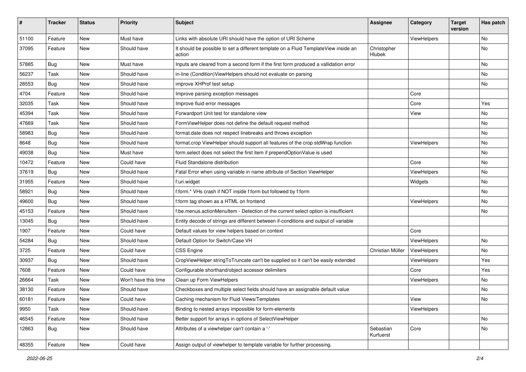| #     | <b>Tracker</b> | <b>Status</b> | <b>Priority</b>      | <b>Subject</b>                                                                                | <b>Assignee</b>        | Category    | <b>Target</b><br>version | Has patch |
|-------|----------------|---------------|----------------------|-----------------------------------------------------------------------------------------------|------------------------|-------------|--------------------------|-----------|
| 51100 | Feature        | New           | Must have            | Links with absolute URI should have the option of URI Scheme                                  |                        | ViewHelpers |                          | No        |
| 37095 | Feature        | New           | Should have          | It should be possible to set a different template on a Fluid TemplateView inside an<br>action | Christopher<br>Hlubek  |             |                          | No        |
| 57885 | Bug            | <b>New</b>    | Must have            | Inputs are cleared from a second form if the first form produced a vallidation error          |                        |             |                          | No        |
| 56237 | Task           | New           | Should have          | in-line (Condition) View Helpers should not evaluate on parsing                               |                        |             |                          | No        |
| 28553 | Bug            | <b>New</b>    | Should have          | improve XHProf test setup                                                                     |                        |             |                          | No        |
| 4704  | Feature        | New           | Should have          | Improve parsing exception messages                                                            |                        | Core        |                          |           |
| 32035 | Task           | New           | Should have          | Improve fluid error messages                                                                  |                        | Core        |                          | Yes       |
| 45394 | Task           | New           | Should have          | Forwardport Unit test for standalone view                                                     |                        | View        |                          | No        |
| 47669 | Task           | New           | Should have          | FormViewHelper does not define the default request method                                     |                        |             |                          | No        |
| 58983 | Bug            | New           | Should have          | format.date does not respect linebreaks and throws exception                                  |                        |             |                          | No.       |
| 8648  | Bug            | New           | Should have          | format.crop ViewHelper should support all features of the crop stdWrap function               |                        | ViewHelpers |                          | No        |
| 49038 | Bug            | New           | Must have            | form.select does not select the first item if prependOptionValue is used                      |                        |             |                          | No        |
| 10472 | Feature        | New           | Could have           | Fluid Standalone distribution                                                                 |                        | Core        |                          | No        |
| 37619 | Bug            | New           | Should have          | Fatal Error when using variable in name attribute of Section ViewHelper                       |                        | ViewHelpers |                          | No        |
| 31955 | Feature        | New           | Should have          | f:uri.widget                                                                                  |                        | Widgets     |                          | No        |
| 58921 | Bug            | New           | Should have          | f:form.* VHs crash if NOT inside f:form but followed by f:form                                |                        |             |                          | No        |
| 49600 | Bug            | New           | Should have          | f:form tag shown as a HTML on frontend                                                        |                        | ViewHelpers |                          | No        |
| 45153 | Feature        | <b>New</b>    | Should have          | f:be.menus.actionMenuItem - Detection of the current select option is insufficient            |                        |             |                          | No        |
| 13045 | Bug            | New           | Should have          | Entity decode of strings are different between if-conditions and output of variable           |                        |             |                          |           |
| 1907  | Feature        | New           | Could have           | Default values for view helpers based on context                                              |                        | Core        |                          |           |
| 54284 | Bug            | New           | Should have          | Default Option for Switch/Case VH                                                             |                        | ViewHelpers |                          | No        |
| 3725  | Feature        | New           | Could have           | <b>CSS Engine</b>                                                                             | Christian Müller       | ViewHelpers |                          | No        |
| 30937 | Bug            | <b>New</b>    | Should have          | CropViewHelper stringToTruncate can't be supplied so it can't be easily extended              |                        | ViewHelpers |                          | Yes       |
| 7608  | Feature        | New           | Could have           | Configurable shorthand/object accessor delimiters                                             |                        | Core        |                          | Yes       |
| 26664 | Task           | New           | Won't have this time | Clean up Form ViewHelpers                                                                     |                        | ViewHelpers |                          | No.       |
| 38130 | Feature        | New           | Should have          | Checkboxes and multiple select fields should have an assignable default value                 |                        |             |                          | No        |
| 60181 | Feature        | New           | Could have           | Caching mechanism for Fluid Views/Templates                                                   |                        | View        |                          | No        |
| 9950  | Task           | New           | Should have          | Binding to nested arrays impossible for form-elements                                         |                        | ViewHelpers |                          |           |
| 46545 | Feature        | New           | Should have          | Better support for arrays in options of SelectViewHelper                                      |                        |             |                          | No        |
| 12863 | Bug            | New           | Should have          | Attributes of a viewhelper can't contain a '-'                                                | Sebastian<br>Kurfuerst | Core        |                          | No        |
| 48355 | Feature        | New           | Could have           | Assign output of viewhelper to template variable for further processing.                      |                        |             |                          |           |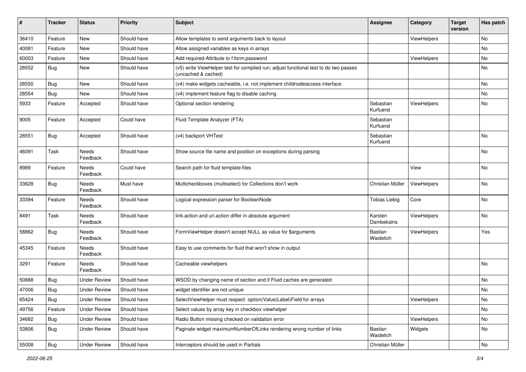| #     | <b>Tracker</b> | <b>Status</b>       | <b>Priority</b> | <b>Subject</b>                                                                                              | <b>Assignee</b>        | Category    | <b>Target</b><br>version | Has patch |
|-------|----------------|---------------------|-----------------|-------------------------------------------------------------------------------------------------------------|------------------------|-------------|--------------------------|-----------|
| 36410 | Feature        | New                 | Should have     | Allow templates to send arguments back to layout                                                            |                        | ViewHelpers |                          | No        |
| 40081 | Feature        | New                 | Should have     | Allow assigned variables as keys in arrays                                                                  |                        |             |                          | No        |
| 60003 | Feature        | New                 | Should have     | Add required-Attribute to f:form.password                                                                   |                        | ViewHelpers |                          | No        |
| 28552 | Bug            | New                 | Should have     | (v5) write ViewHelper test for compiled run; adjust functional test to do two passes<br>(uncached & cached) |                        |             |                          | No        |
| 28550 | Bug            | New                 | Should have     | (v4) make widgets cacheable, i.e. not implement childnodeaccess interface                                   |                        |             |                          | <b>No</b> |
| 28554 | Bug            | New                 | Should have     | (v4) implement feature flag to disable caching                                                              |                        |             |                          | No        |
| 5933  | Feature        | Accepted            | Should have     | Optional section rendering                                                                                  | Sebastian<br>Kurfuerst | ViewHelpers |                          | No        |
| 9005  | Feature        | Accepted            | Could have      | Fluid Template Analyzer (FTA)                                                                               | Sebastian<br>Kurfuerst |             |                          |           |
| 28551 | <b>Bug</b>     | Accepted            | Should have     | (v4) backport VHTest                                                                                        | Sebastian<br>Kurfuerst |             |                          | No        |
| 46091 | Task           | Needs<br>Feedback   | Should have     | Show source file name and position on exceptions during parsing                                             |                        |             |                          | No        |
| 8989  | Feature        | Needs<br>Feedback   | Could have      | Search path for fluid template files                                                                        |                        | View        |                          | No        |
| 33628 | Bug            | Needs<br>Feedback   | Must have       | Multicheckboxes (multiselect) for Collections don't work                                                    | Christian Müller       | ViewHelpers |                          | No        |
| 33394 | Feature        | Needs<br>Feedback   | Should have     | Logical expression parser for BooleanNode                                                                   | <b>Tobias Liebig</b>   | Core        |                          | No        |
| 8491  | Task           | Needs<br>Feedback   | Should have     | link.action and uri.action differ in absolute argument                                                      | Karsten<br>Dambekalns  | ViewHelpers |                          | No        |
| 58862 | Bug            | Needs<br>Feedback   | Should have     | FormViewHelper doesn't accept NULL as value for \$arguments                                                 | Bastian<br>Waidelich   | ViewHelpers |                          | Yes       |
| 45345 | Feature        | Needs<br>Feedback   | Should have     | Easy to use comments for fluid that won't show in output                                                    |                        |             |                          |           |
| 3291  | Feature        | Needs<br>Feedback   | Should have     | Cacheable viewhelpers                                                                                       |                        |             |                          | No        |
| 50888 | Bug            | <b>Under Review</b> | Should have     | WSOD by changing name of section and if Fluid caches are generated                                          |                        |             |                          | No        |
| 47006 | <b>Bug</b>     | <b>Under Review</b> | Should have     | widget identifier are not unique                                                                            |                        |             |                          | No        |
| 65424 | <b>Bug</b>     | <b>Under Review</b> | Should have     | SelectViewHelper must respect option(Value Label)Field for arrays                                           |                        | ViewHelpers |                          | No        |
| 49756 | Feature        | <b>Under Review</b> | Should have     | Select values by array key in checkbox viewhelper                                                           |                        |             |                          | No        |
| 34682 | <b>Bug</b>     | <b>Under Review</b> | Should have     | Radio Button missing checked on validation error                                                            |                        | ViewHelpers |                          | No        |
| 53806 | Bug            | <b>Under Review</b> | Should have     | Paginate widget maximumNumberOfLinks rendering wrong number of links                                        | Bastian<br>Waidelich   | Widgets     |                          | No        |
| 55008 | Bug            | <b>Under Review</b> | Should have     | Interceptors should be used in Partials                                                                     | Christian Müller       |             |                          | No        |